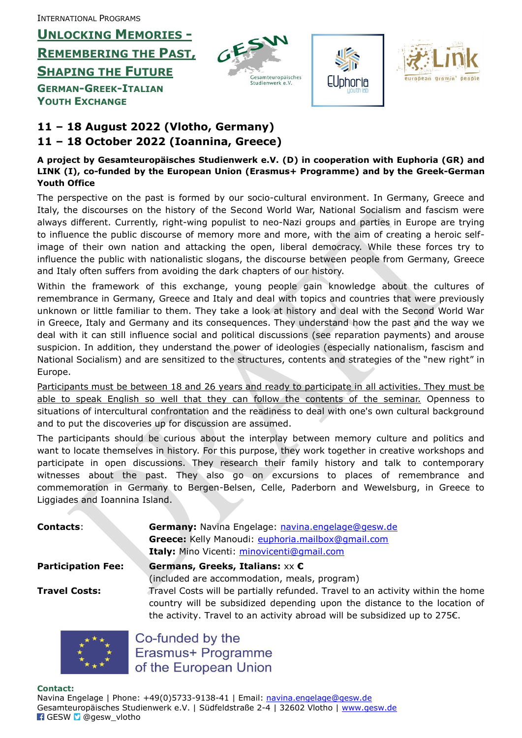INTERNATIONAL PROGRAMS

**UNLOCKING MEMORIES -**

**REMEMBERING THE PAST,**

**SHAPING THE FUTURE**

**GERMAN-GREEK-ITALIAN YOUTH EXCHANGE**







### **11 – 18 August 2022 (Vlotho, Germany) 11 – 18 October 2022 (Ioannina, Greece)**

#### **A project by Gesamteuropäisches Studienwerk e.V. (D) in cooperation with Euphoria (GR) and LINK (I), co-funded by the European Union (Erasmus+ Programme) and by the Greek-German Youth Office**

The perspective on the past is formed by our socio-cultural environment. In Germany, Greece and Italy, the discourses on the history of the Second World War, National Socialism and fascism were always different. Currently, right-wing populist to neo-Nazi groups and parties in Europe are trying to influence the public discourse of memory more and more, with the aim of creating a heroic selfimage of their own nation and attacking the open, liberal democracy. While these forces try to influence the public with nationalistic slogans, the discourse between people from Germany, Greece and Italy often suffers from avoiding the dark chapters of our history.

Within the framework of this exchange, young people gain knowledge about the cultures of remembrance in Germany, Greece and Italy and deal with topics and countries that were previously unknown or little familiar to them. They take a look at history and deal with the Second World War in Greece, Italy and Germany and its consequences. They understand how the past and the way we deal with it can still influence social and political discussions (see reparation payments) and arouse suspicion. In addition, they understand the power of ideologies (especially nationalism, fascism and National Socialism) and are sensitized to the structures, contents and strategies of the "new right" in Europe.

Participants must be between 18 and 26 years and ready to participate in all activities. They must be able to speak English so well that they can follow the contents of the seminar. Openness to situations of intercultural confrontation and the readiness to deal with one's own cultural background and to put the discoveries up for discussion are assumed.

The participants should be curious about the interplay between memory culture and politics and want to locate themselves in history. For this purpose, they work together in creative workshops and participate in open discussions. They research their family history and talk to contemporary witnesses about the past. They also go on excursions to places of remembrance and commemoration in Germany to Bergen-Belsen, Celle, Paderborn and Wewelsburg, in Greece to Liggiades and Ioannina Island.

| <b>Contacts:</b>          | Germany: Navina Engelage: navina.engelage@gesw.de                                                                                                                                                                                                  |
|---------------------------|----------------------------------------------------------------------------------------------------------------------------------------------------------------------------------------------------------------------------------------------------|
|                           | Greece: Kelly Manoudi: euphoria.mailbox@qmail.com                                                                                                                                                                                                  |
|                           | Italy: Mino Vicenti: minovicenti@gmail.com                                                                                                                                                                                                         |
| <b>Participation Fee:</b> | Germans, Greeks, Italians: $xx \in$                                                                                                                                                                                                                |
|                           | (included are accommodation, meals, program)                                                                                                                                                                                                       |
| Travel Costs:             | Travel Costs will be partially refunded. Travel to an activity within the home<br>country will be subsidized depending upon the distance to the location of<br>the activity. Travel to an activity abroad will be subsidized up to $275\epsilon$ . |
|                           |                                                                                                                                                                                                                                                    |



Co-funded by the Erasmus+ Programme of the European Union

#### **Contact:**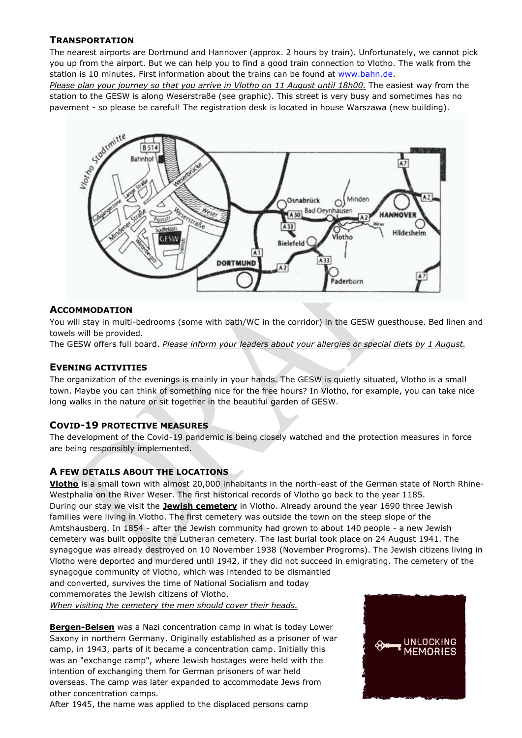#### **TRANSPORTATION**

The nearest airports are Dortmund and Hannover (approx. 2 hours by train). Unfortunately, we cannot pick you up from the airport. But we can help you to find a good train connection to Vlotho. The walk from the station is 10 minutes. First information about the trains can be found at [www.bahn.de.](http://www.bahn.de/)

*Please plan your journey so that you arrive in Vlotho on 11 August until 18h00.* The easiest way from the station to the GESW is along Weserstraße (see graphic). This street is very busy and sometimes has no pavement - so please be careful! The registration desk is located in house Warszawa (new building).



#### **ACCOMMODATION**

You will stay in multi-bedrooms (some with bath/WC in the corridor) in the GESW guesthouse. Bed linen and towels will be provided.

The GESW offers full board. *Please inform your leaders about your allergies or special diets by 1 August.*

#### **EVENING ACTIVITIES**

The organization of the evenings is mainly in your hands. The GESW is quietly situated, Vlotho is a small town. Maybe you can think of something nice for the free hours? In Vlotho, for example, you can take nice long walks in the nature or sit together in the beautiful garden of GESW.

#### **COVID-19 PROTECTIVE MEASURES**

The development of the Covid-19 pandemic is being closely watched and the protection measures in force are being responsibly implemented.

#### **A FEW DETAILS ABOUT THE LOCATIONS**

**Vlotho** is a small town with almost 20,000 inhabitants in the north-east of the German state of North Rhine-Westphalia on the River Weser. The first historical records of Vlotho go back to the year 1185. During our stay we visit the **Jewish cemetery** in Vlotho. Already around the year 1690 three Jewish families were living in Vlotho. The first cemetery was outside the town on the steep slope of the Amtshausberg. In 1854 - after the Jewish community had grown to about 140 people - a new Jewish cemetery was built opposite the Lutheran cemetery. The last burial took place on 24 August 1941. The synagogue was already destroyed on 10 November 1938 (November Progroms). The Jewish citizens living in Vlotho were deported and murdered until 1942, if they did not succeed in emigrating. The cemetery of the synagogue community of Vlotho, which was intended to be dismantled and converted, survives the time of National Socialism and today

commemorates the Jewish citizens of Vlotho.

*When visiting the cemetery the men should cover their heads.*

**Bergen-Belsen** was a Nazi concentration camp in what is today Lower Saxony in northern Germany. Originally established as a prisoner of war camp, in 1943, parts of it became a concentration camp. Initially this was an "exchange camp", where Jewish hostages were held with the intention of exchanging them for German prisoners of war held overseas. The camp was later expanded to accommodate Jews from other concentration camps.

After 1945, the name was applied to the displaced persons camp

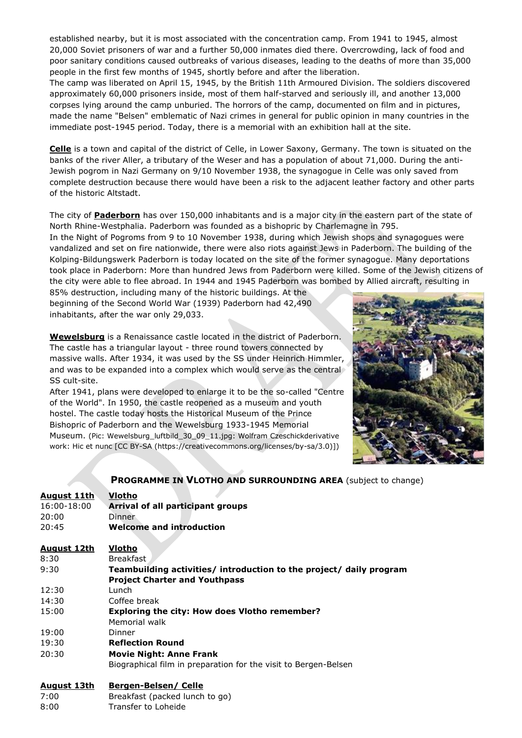established nearby, but it is most associated with the concentration camp. From 1941 to 1945, almost 20,000 Soviet prisoners of war and a further 50,000 inmates died there. Overcrowding, lack of food and poor sanitary conditions caused outbreaks of various diseases, leading to the deaths of more than 35,000 people in the first few months of 1945, shortly before and after the liberation.

The camp was liberated on April 15, 1945, by the British 11th Armoured Division. The soldiers discovered approximately 60,000 prisoners inside, most of them half-starved and seriously ill, and another 13,000 corpses lying around the camp unburied. The horrors of the camp, documented on film and in pictures, made the name "Belsen" emblematic of Nazi crimes in general for public opinion in many countries in the immediate post-1945 period. Today, there is a memorial with an exhibition hall at the site.

**Celle** is a town and capital of the district of Celle, in Lower Saxony, Germany. The town is situated on the banks of the river Aller, a tributary of the Weser and has a population of about 71,000. During the anti-Jewish pogrom in Nazi Germany on 9/10 November 1938, the synagogue in Celle was only saved from complete destruction because there would have been a risk to the adjacent leather factory and other parts of the historic Altstadt.

The city of **Paderborn** has over 150,000 inhabitants and is a major city in the eastern part of the state of North Rhine-Westphalia. Paderborn was founded as a bishopric by Charlemagne in 795.

In the Night of Pogroms from 9 to 10 November 1938, during which Jewish shops and synagogues were vandalized and set on fire nationwide, there were also riots against Jews in Paderborn. The building of the Kolping-Bildungswerk Paderborn is today located on the site of the former synagogue. Many deportations took place in Paderborn: More than hundred Jews from Paderborn were killed. Some of the Jewish citizens of the city were able to flee abroad. In 1944 and 1945 Paderborn was bombed by Allied aircraft, resulting in

85% destruction, including many of the historic buildings. At the beginning of the Second World War (1939) Paderborn had 42,490 inhabitants, after the war only 29,033.

**Wewelsburg** is a Renaissance castle located in the district of Paderborn. The castle has a triangular layout - three round towers connected by massive walls. After 1934, it was used by the SS under Heinrich Himmler, and was to be expanded into a complex which would serve as the central SS cult-site.

After 1941, plans were developed to enlarge it to be the so-called "Centre of the World". In 1950, the castle reopened as a museum and youth hostel. The castle today hosts the Historical Museum of the Prince Bishopric of Paderborn and the Wewelsburg 1933-1945 Memorial Museum. (Pic: Wewelsburg\_luftbild\_30\_09\_11.jpg: Wolfram Czeschickderivative work: Hic et nunc [CC BY-SA (https://creativecommons.org/licenses/by-sa/3.0)])



#### **PROGRAMME IN VLOTHO AND SURROUNDING AREA** (subject to change)

| August 11th        | Vlotho                                                              |
|--------------------|---------------------------------------------------------------------|
| 16:00-18:00        | Arrival of all participant groups                                   |
| 20:00              | <b>Dinner</b>                                                       |
| 20:45              | <b>Welcome and introduction</b>                                     |
|                    |                                                                     |
| <u>August 12th</u> | Vlotho                                                              |
| 8:30               | <b>Breakfast</b>                                                    |
| 9:30               | Teambuilding activities/ introduction to the project/ daily program |
|                    | <b>Project Charter and Youthpass</b>                                |
| 12:30              | Lunch                                                               |
| 14:30              | Coffee break                                                        |
| 15:00              | <b>Exploring the city: How does Vlotho remember?</b>                |
|                    | Memorial walk                                                       |
| 19:00              | Dinner                                                              |
| 19:30              | <b>Reflection Round</b>                                             |
| 20:30              | <b>Movie Night: Anne Frank</b>                                      |
|                    | Biographical film in preparation for the visit to Bergen-Belsen     |
| <u>August 13th</u> | <b>Bergen-Belsen/ Celle</b>                                         |
| 7:00               | Breakfast (packed lunch to go)                                      |

8:00 Transfer to Loheide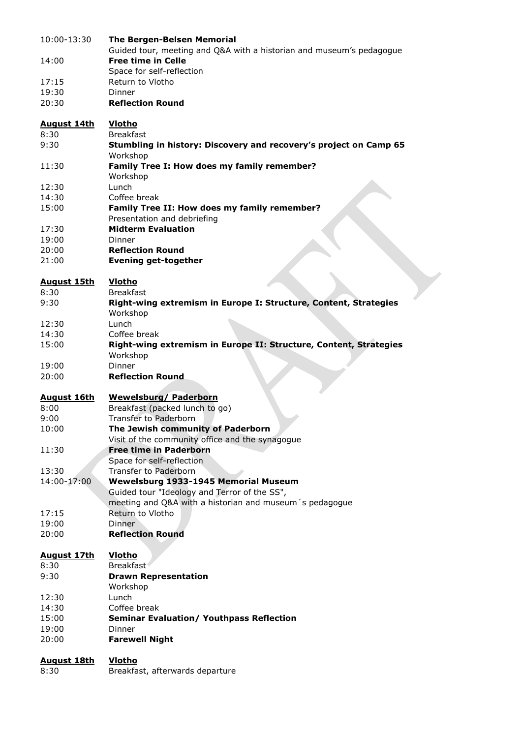| 10:00-13:30        | <b>The Bergen-Belsen Memorial</b>                                                                 |
|--------------------|---------------------------------------------------------------------------------------------------|
| 14:00              | Guided tour, meeting and Q&A with a historian and museum's pedagogue<br><b>Free time in Celle</b> |
|                    | Space for self-reflection                                                                         |
| 17:15              | Return to Vlotho                                                                                  |
| 19:30              | Dinner                                                                                            |
| 20:30              | <b>Reflection Round</b>                                                                           |
| <b>August 14th</b> | Vlotho                                                                                            |
| 8:30               | <b>Breakfast</b>                                                                                  |
| 9:30               | Stumbling in history: Discovery and recovery's project on Camp 65<br>Workshop                     |
| 11:30              | Family Tree I: How does my family remember?<br>Workshop                                           |
| 12:30              | Lunch                                                                                             |
| 14:30              | Coffee break                                                                                      |
| 15:00              | Family Tree II: How does my family remember?<br>Presentation and debriefing                       |
| 17:30              | <b>Midterm Evaluation</b>                                                                         |
| 19:00              | Dinner                                                                                            |
| 20:00              | <b>Reflection Round</b>                                                                           |
| 21:00              | <b>Evening get-together</b>                                                                       |
| <b>August 15th</b> | Vlotho                                                                                            |
| 8:30               | <b>Breakfast</b>                                                                                  |
| 9:30               | Right-wing extremism in Europe I: Structure, Content, Strategies                                  |
|                    | Workshop                                                                                          |
| 12:30              | Lunch                                                                                             |
| 14:30              | Coffee break                                                                                      |
| 15:00              | Right-wing extremism in Europe II: Structure, Content, Strategies<br>Workshop                     |
| 19:00              | Dinner                                                                                            |
| 20:00              | <b>Reflection Round</b>                                                                           |
|                    |                                                                                                   |
| <b>August 16th</b> | <b>Wewelsburg/ Paderborn</b>                                                                      |
| 8:00               | Breakfast (packed lunch to go)                                                                    |
| 9:00               | <b>Transfer to Paderborn</b>                                                                      |
| 10:00              | The Jewish community of Paderborn                                                                 |
|                    | Visit of the community office and the synagogue                                                   |
| 11:30              | <b>Free time in Paderborn</b>                                                                     |
|                    | Space for self-reflection                                                                         |
| 13:30              | <b>Transfer to Paderborn</b>                                                                      |
| 14:00-17:00        | Wewelsburg 1933-1945 Memorial Museum                                                              |
|                    | Guided tour "Ideology and Terror of the SS",                                                      |
|                    | meeting and Q&A with a historian and museum's pedagogue                                           |
| 17:15              | Return to Vlotho                                                                                  |
| 19:00<br>20:00     | Dinner<br><b>Reflection Round</b>                                                                 |
|                    |                                                                                                   |
| <b>August 17th</b> | <b>Vlotho</b>                                                                                     |
| 8:30               | Breakfast <sup>®</sup>                                                                            |
| 9:30               | <b>Drawn Representation</b>                                                                       |
|                    | Workshop                                                                                          |
| 12:30              | Lunch<br>Coffee break                                                                             |
| 14:30<br>15:00     | <b>Seminar Evaluation/ Youthpass Reflection</b>                                                   |
| 19:00              | Dinner                                                                                            |
| 20:00              | <b>Farewell Night</b>                                                                             |
|                    |                                                                                                   |
| <u>August 18th</u> | <b>Vlotho</b>                                                                                     |
| 8:30               | Breakfast, afterwards departure                                                                   |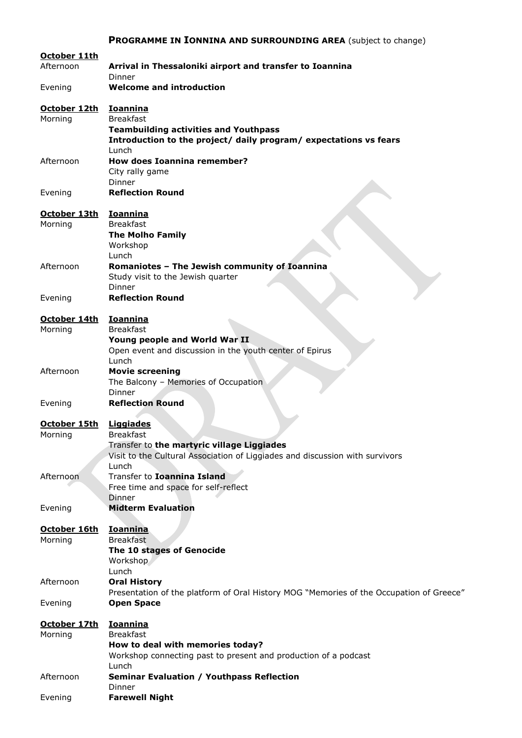## **PROGRAMME IN IONNINA AND SURROUNDING AREA** (subject to change)

| October 11th<br>Afternoon | Arrival in Thessaloniki airport and transfer to Ioannina<br>Dinner                                                                                                 |
|---------------------------|--------------------------------------------------------------------------------------------------------------------------------------------------------------------|
| Evening                   | <b>Welcome and introduction</b>                                                                                                                                    |
| October 12th<br>Morning   | <u>Ioannina</u><br><b>Breakfast</b><br><b>Teambuilding activities and Youthpass</b><br>Introduction to the project/ daily program/ expectations vs fears           |
| Afternoon                 | Lunch<br><b>How does Ioannina remember?</b><br>City rally game<br>Dinner                                                                                           |
| Evening                   | <b>Reflection Round</b>                                                                                                                                            |
| October 13th<br>Morning   | <b>Ioannina</b><br><b>Breakfast</b><br><b>The Molho Family</b><br>Workshop                                                                                         |
| Afternoon                 | Lunch<br>Romaniotes - The Jewish community of Ioannina<br>Study visit to the Jewish quarter<br>Dinner                                                              |
| Evening                   | <b>Reflection Round</b>                                                                                                                                            |
| October 14th              | <b>Ioannina</b>                                                                                                                                                    |
| Morning                   | <b>Breakfast</b><br>Young people and World War II<br>Open event and discussion in the youth center of Epirus<br>Lunch                                              |
| Afternoon                 | <b>Movie screening</b><br>The Balcony - Memories of Occupation<br>Dinner                                                                                           |
| Evening                   | <b>Reflection Round</b>                                                                                                                                            |
| October 15th<br>Morning   | <b>Liggiades</b><br><b>Breakfast</b><br>Transfer to the martyric village Liggiades<br>Visit to the Cultural Association of Liggiades and discussion with survivors |
| Afternoon                 | Lunch<br>Transfer to <b>Ioannina Island</b><br>Free time and space for self-reflect                                                                                |
| Evening                   | Dinner<br><b>Midterm Evaluation</b>                                                                                                                                |
| October 16th<br>Morning   | <b>Ioannina</b><br><b>Breakfast</b><br>The 10 stages of Genocide<br>Workshop                                                                                       |
| Afternoon                 | Lunch<br><b>Oral History</b>                                                                                                                                       |
| Evening                   | Presentation of the platform of Oral History MOG "Memories of the Occupation of Greece"<br><b>Open Space</b>                                                       |
| October 17th<br>Morning   | <b>Ioannina</b><br><b>Breakfast</b><br>How to deal with memories today?<br>Workshop connecting past to present and production of a podcast                         |
| Afternoon                 | Lunch<br><b>Seminar Evaluation / Youthpass Reflection</b><br>Dinner                                                                                                |
| Evening                   | <b>Farewell Night</b>                                                                                                                                              |